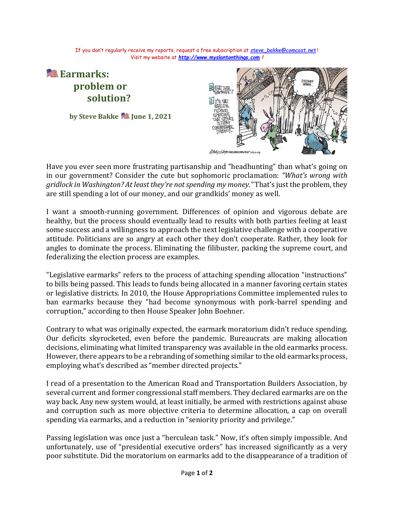If you don't regularly receive my reports, request a free subscription at *[steve\\_bakke@comcast.net](mailto:steve_bakke@comcast.net)* ! Visit my website at *[http://www.myslantonthings.com](http://www.myslantonthings.com/) !*



Have you ever seen more frustrating partisanship and "headhunting" than what's going on in our government? Consider the cute but sophomoric proclamation: *"What's wrong with gridlock in Washington? At least they're not spending my money."* That's just the problem, they are still spending a lot of our money, and our grandkids' money as well.

I want a smooth-running government. Differences of opinion and vigorous debate are healthy, but the process should eventually lead to results with both parties feeling at least some success and a willingness to approach the next legislative challenge with a cooperative attitude. Politicians are so angry at each other they don't cooperate. Rather, they look for angles to dominate the process. Eliminating the filibuster, packing the supreme court, and federalizing the election process are examples.

"Legislative earmarks" refers to the process of attaching spending allocation "instructions" to bills being passed. This leads to funds being allocated in a manner favoring certain states or legislative districts. In 2010, the House Appropriations Committee implemented rules to ban earmarks because they "had become synonymous with pork-barrel spending and corruption," according to then House Speaker John Boehner.

Contrary to what was originally expected, the earmark moratorium didn't reduce spending. Our deficits skyrocketed, even before the pandemic. Bureaucrats are making allocation decisions, eliminating what limited transparency was available in the old earmarks process. However, there appears to be a rebranding of something similar to the old earmarks process, employing what's described as "member directed projects."

I read of a presentation to the American Road and Transportation Builders Association, by several current and former congressional staff members. They declared earmarks are on the way back. Any new system would, at least initially, be armed with restrictions against abuse and corruption such as more objective criteria to determine allocation, a cap on overall spending via earmarks, and a reduction in "seniority priority and privilege."

Passing legislation was once just a "herculean task." Now, it's often simply impossible. And unfortunately, use of "presidential executive orders" has increased significantly as a very poor substitute. Did the moratorium on earmarks add to the disappearance of a tradition of